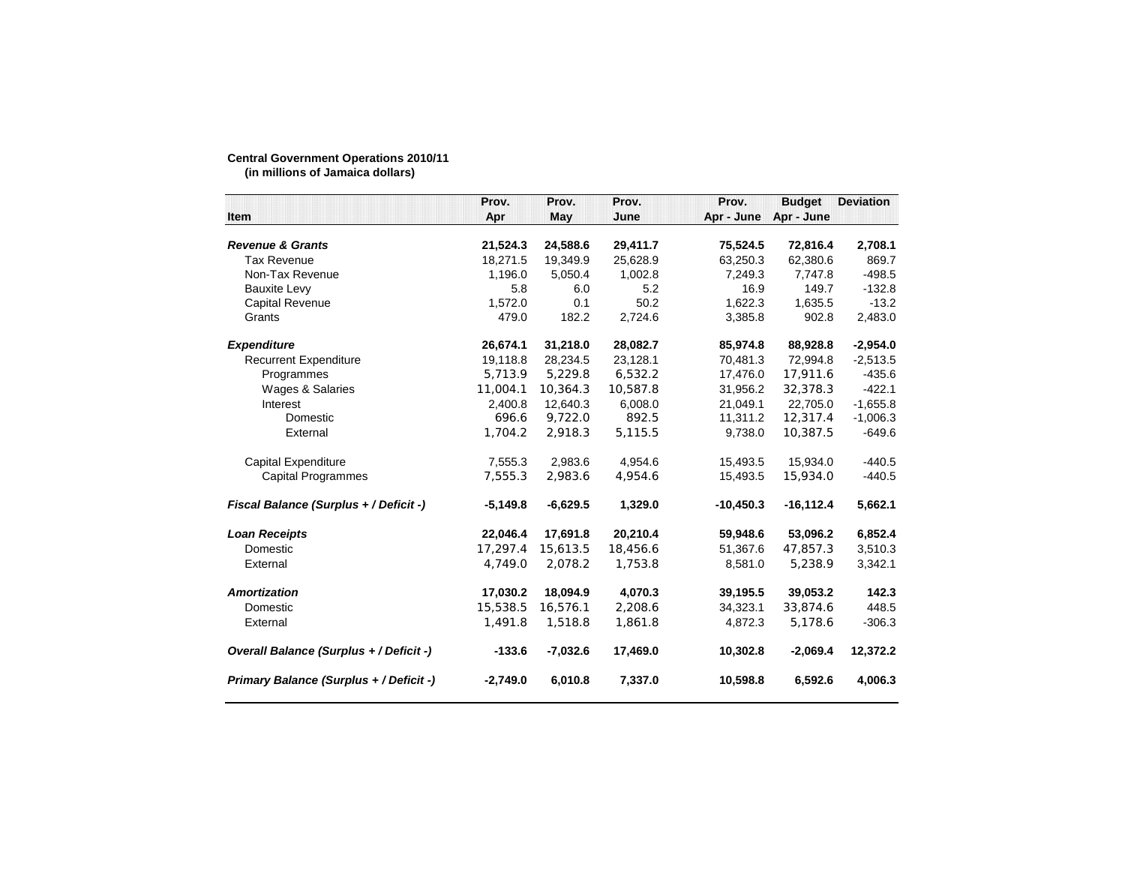## **Central Government Operations 2010/11 (in millions of Jamaica dollars)**

|                                         | Prov.      | Prov.      | Prov.    | Prov.       | <b>Budget</b> | <b>Deviation</b> |
|-----------------------------------------|------------|------------|----------|-------------|---------------|------------------|
| Item                                    | Apr        | May        | June     | Apr - June  | Apr - June    |                  |
| <b>Revenue &amp; Grants</b>             | 21,524.3   | 24,588.6   | 29,411.7 | 75,524.5    | 72,816.4      | 2,708.1          |
| <b>Tax Revenue</b>                      | 18,271.5   | 19,349.9   | 25,628.9 | 63,250.3    | 62,380.6      | 869.7            |
| Non-Tax Revenue                         | 1,196.0    | 5,050.4    | 1,002.8  | 7,249.3     | 7,747.8       | -498.5           |
| <b>Bauxite Levy</b>                     | 5.8        | 6.0        | 5.2      | 16.9        | 149.7         | $-132.8$         |
| <b>Capital Revenue</b>                  | 1,572.0    | 0.1        | 50.2     | 1,622.3     | 1,635.5       | $-13.2$          |
| Grants                                  | 479.0      | 182.2      | 2,724.6  | 3,385.8     | 902.8         | 2,483.0          |
| <b>Expenditure</b>                      | 26,674.1   | 31,218.0   | 28,082.7 | 85,974.8    | 88,928.8      | $-2,954.0$       |
| <b>Recurrent Expenditure</b>            | 19,118.8   | 28,234.5   | 23,128.1 | 70,481.3    | 72,994.8      | $-2,513.5$       |
| Programmes                              | 5,713.9    | 5,229.8    | 6,532.2  | 17,476.0    | 17,911.6      | -435.6           |
| Wages & Salaries                        | 11,004.1   | 10,364.3   | 10,587.8 | 31,956.2    | 32,378.3      | $-422.1$         |
| Interest                                | 2,400.8    | 12,640.3   | 6,008.0  | 21,049.1    | 22,705.0      | $-1,655.8$       |
| Domestic                                | 696.6      | 9,722.0    | 892.5    | 11,311.2    | 12,317.4      | $-1,006.3$       |
| External                                | 1,704.2    | 2,918.3    | 5,115.5  | 9,738.0     | 10,387.5      | $-649.6$         |
| Capital Expenditure                     | 7,555.3    | 2,983.6    | 4,954.6  | 15,493.5    | 15,934.0      | $-440.5$         |
| <b>Capital Programmes</b>               | 7,555.3    | 2,983.6    | 4,954.6  | 15,493.5    | 15,934.0      | $-440.5$         |
| Fiscal Balance (Surplus + / Deficit -)  | $-5,149.8$ | $-6,629.5$ | 1,329.0  | $-10,450.3$ | $-16, 112.4$  | 5,662.1          |
| <b>Loan Receipts</b>                    | 22,046.4   | 17,691.8   | 20,210.4 | 59,948.6    | 53,096.2      | 6,852.4          |
| Domestic                                | 17,297.4   | 15,613.5   | 18,456.6 | 51,367.6    | 47,857.3      | 3,510.3          |
| External                                | 4,749.0    | 2,078.2    | 1,753.8  | 8,581.0     | 5,238.9       | 3,342.1          |
| <b>Amortization</b>                     | 17,030.2   | 18,094.9   | 4,070.3  | 39,195.5    | 39,053.2      | 142.3            |
| Domestic                                | 15,538.5   | 16,576.1   | 2,208.6  | 34,323.1    | 33,874.6      | 448.5            |
| External                                | 1,491.8    | 1,518.8    | 1,861.8  | 4,872.3     | 5,178.6       | $-306.3$         |
| Overall Balance (Surplus + / Deficit -) | $-133.6$   | $-7,032.6$ | 17,469.0 | 10,302.8    | $-2,069.4$    | 12,372.2         |
| Primary Balance (Surplus + / Deficit -) | $-2,749.0$ | 6,010.8    | 7,337.0  | 10,598.8    | 6,592.6       | 4,006.3          |